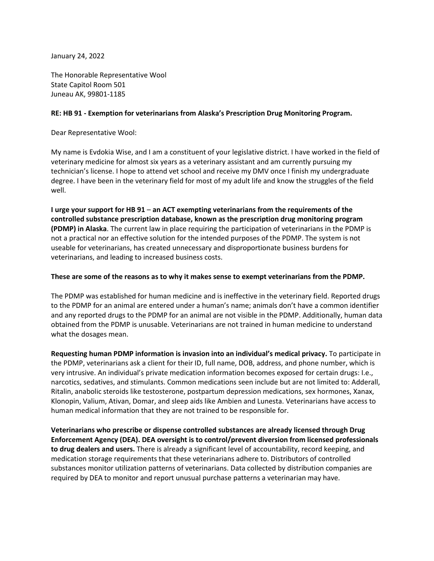January 24, 2022

The Honorable Representative Wool State Capitol Room 501 Juneau AK, 99801-1185

## **RE: HB 91 - Exemption for veterinarians from Alaska's Prescription Drug Monitoring Program.**

Dear Representative Wool:

My name is Evdokia Wise, and I am a constituent of your legislative district. I have worked in the field of veterinary medicine for almost six years as a veterinary assistant and am currently pursuing my technician's license. I hope to attend vet school and receive my DMV once I finish my undergraduate degree. I have been in the veterinary field for most of my adult life and know the struggles of the field well.

**I urge your support for HB 91** – **an ACT exempting veterinarians from the requirements of the controlled substance prescription database, known as the prescription drug monitoring program (PDMP) in Alaska**. The current law in place requiring the participation of veterinarians in the PDMP is not a practical nor an effective solution for the intended purposes of the PDMP. The system is not useable for veterinarians, has created unnecessary and disproportionate business burdens for veterinarians, and leading to increased business costs.

## **These are some of the reasons as to why it makes sense to exempt veterinarians from the PDMP.**

The PDMP was established for human medicine and is ineffective in the veterinary field. Reported drugs to the PDMP for an animal are entered under a human's name; animals don't have a common identifier and any reported drugs to the PDMP for an animal are not visible in the PDMP. Additionally, human data obtained from the PDMP is unusable. Veterinarians are not trained in human medicine to understand what the dosages mean.

**Requesting human PDMP information is invasion into an individual's medical privacy.** To participate in the PDMP, veterinarians ask a client for their ID, full name, DOB, address, and phone number, which is very intrusive. An individual's private medication information becomes exposed for certain drugs: I.e., narcotics, sedatives, and stimulants. Common medications seen include but are not limited to: Adderall, Ritalin, anabolic steroids like testosterone, postpartum depression medications, sex hormones, Xanax, Klonopin, Valium, Ativan, Domar, and sleep aids like Ambien and Lunesta. Veterinarians have access to human medical information that they are not trained to be responsible for.

**Veterinarians who prescribe or dispense controlled substances are already licensed through Drug Enforcement Agency (DEA). DEA oversight is to control/prevent diversion from licensed professionals to drug dealers and users.** There is already a significant level of accountability, record keeping, and medication storage requirements that these veterinarians adhere to. Distributors of controlled substances monitor utilization patterns of veterinarians. Data collected by distribution companies are required by DEA to monitor and report unusual purchase patterns a veterinarian may have.